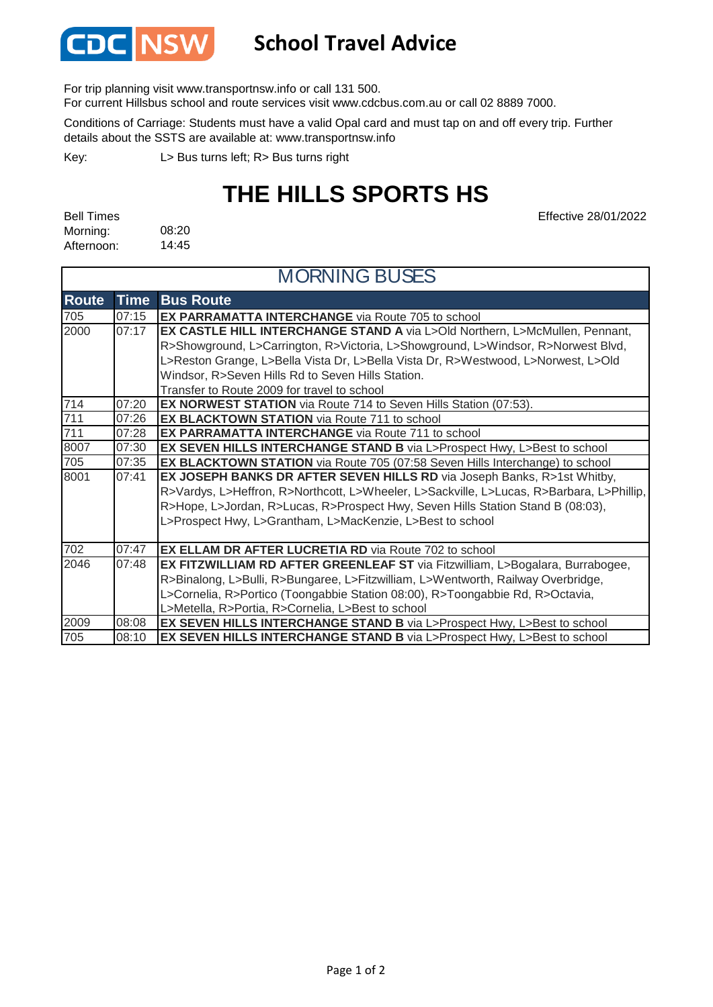

## **School Travel Advice**

For trip planning visit www.transportnsw.info or call 131 500.

For current Hillsbus school and route services visit www.cdcbus.com.au or call 02 8889 7000.

Conditions of Carriage: Students must have a valid Opal card and must tap on and off every trip. Further details about the SSTS are available at: www.transportnsw.info

L> Bus turns left; R> Bus turns right Key:

# **THE HILLS SPORTS HS**

| <b>Bell Times</b> |       |
|-------------------|-------|
| Morning:          | 08:20 |
| Afternoon:        | 14:45 |

Effective 28/01/2022

| <b>MORNING BUSES</b> |             |                                                                                          |
|----------------------|-------------|------------------------------------------------------------------------------------------|
| <b>Route</b>         | <b>Time</b> | <b>Bus Route</b>                                                                         |
| 705                  | 07:15       | <b>EX PARRAMATTA INTERCHANGE</b> via Route 705 to school                                 |
| 2000                 | 07:17       | EX CASTLE HILL INTERCHANGE STAND A via L>Old Northern, L>McMullen, Pennant,              |
|                      |             | R>Showground, L>Carrington, R>Victoria, L>Showground, L>Windsor, R>Norwest Blvd,         |
|                      |             | L>Reston Grange, L>Bella Vista Dr, L>Bella Vista Dr, R>Westwood, L>Norwest, L>Old        |
|                      |             | Windsor, R>Seven Hills Rd to Seven Hills Station.                                        |
|                      |             | Transfer to Route 2009 for travel to school                                              |
| 714                  | 07:20       | <b>EX NORWEST STATION</b> via Route 714 to Seven Hills Station (07:53).                  |
| 711                  | 07:26       | <b>EX BLACKTOWN STATION</b> via Route 711 to school                                      |
| 711                  | 07:28       | <b>EX PARRAMATTA INTERCHANGE</b> via Route 711 to school                                 |
| 8007                 | 07:30       | EX SEVEN HILLS INTERCHANGE STAND B via L>Prospect Hwy, L>Best to school                  |
| 705                  | 07:35       | EX BLACKTOWN STATION via Route 705 (07:58 Seven Hills Interchange) to school             |
| 8001                 | 07:41       | EX JOSEPH BANKS DR AFTER SEVEN HILLS RD via Joseph Banks, R>1st Whitby,                  |
|                      |             | R>Vardys, L>Heffron, R>Northcott, L>Wheeler, L>Sackville, L>Lucas, R>Barbara, L>Phillip, |
|                      |             | R>Hope, L>Jordan, R>Lucas, R>Prospect Hwy, Seven Hills Station Stand B (08:03),          |
|                      |             | L>Prospect Hwy, L>Grantham, L>MacKenzie, L>Best to school                                |
|                      |             |                                                                                          |
| 702                  | 07:47       | <b>EX ELLAM DR AFTER LUCRETIA RD via Route 702 to school</b>                             |
| 2046                 | 07:48       | EX FITZWILLIAM RD AFTER GREENLEAF ST via Fitzwilliam, L>Bogalara, Burrabogee,            |
|                      |             | R>Binalong, L>Bulli, R>Bungaree, L>Fitzwilliam, L>Wentworth, Railway Overbridge,         |
|                      |             | L>Cornelia, R>Portico (Toongabbie Station 08:00), R>Toongabbie Rd, R>Octavia,            |
|                      |             | L>Metella, R>Portia, R>Cornelia, L>Best to school                                        |
| 2009                 | 08:08       | EX SEVEN HILLS INTERCHANGE STAND B via L>Prospect Hwy, L>Best to school                  |
| 705                  | 08:10       | EX SEVEN HILLS INTERCHANGE STAND B via L>Prospect Hwy, L>Best to school                  |

#### Page 1 of 2